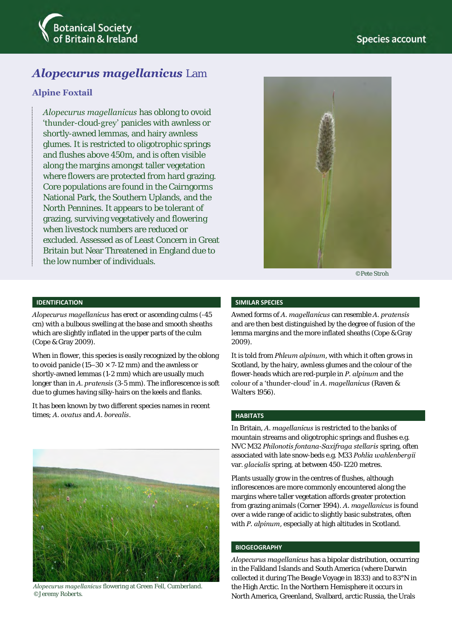

# *Alopecurus magellanicus* Lam

### **Alpine Foxtail**

*Alopecurus magellanicus* has oblong to ovoid 'thunder-cloud-grey' panicles with awnless or shortly-awned lemmas, and hairy awnless glumes. It is restricted to oligotrophic springs and flushes above 450m, and is often visible along the margins amongst taller vegetation where flowers are protected from hard grazing. Core populations are found in the Cairngorms National Park, the Southern Uplands, and the North Pennines. It appears to be tolerant of grazing, surviving vegetatively and flowering when livestock numbers are reduced or excluded. Assessed as of Least Concern in Great Britain but Near Threatened in England due to the low number of individuals.



©Pete Stroh

#### **IDENTIFICATION**

*Alopecurus magellanicus* has erect or ascending culms (-45 cm) with a bulbous swelling at the base and smooth sheaths which are slightly inflated in the upper parts of the culm (Cope & Gray 2009).

When in flower, this species is easily recognized by the oblong to ovoid panicle (15–30  $\times$  7-12 mm) and the awnless or shortly-awned lemmas (1-2 mm) which are usually much longer than in *A. pratensis* (3-5 mm). The inflorescence is soft due to glumes having silky-hairs on the keels and flanks.

It has been known by two different species names in recent times; *A. ovatus* and *A. borealis*.



*Alopecurus magellanicus* flowering at Green Fell, Cumberland. ©Jeremy Roberts.

#### **SIMILAR SPECIES**

Awned forms of *A. magellanicus* can resemble *A. pratensis* and are then best distinguished by the degree of fusion of the lemma margins and the more inflated sheaths (Cope & Gray 2009).

It is told from *Phleum alpinum*, with which it often grows in Scotland, by the hairy, awnless glumes and the colour of the flower-heads which are red-purple in *P. alpinum* and the colour of a 'thunder-cloud' in *A. magellanicus* (Raven & Walters 1956).

#### **HABITATS**

In Britain, *A. magellanicus* is restricted to the banks of mountain streams and oligotrophic springs and flushes e.g. NVC M32 *Philonotis fontana*-*Saxifraga stellaris* spring, often associated with late snow-beds e.g. M33 *Pohlia wahlenbergii*  var. *glacialis* spring, at between 450-1220 metres.

Plants usually grow in the centres of flushes, although inflorescences are more commonly encountered along the margins where taller vegetation affords greater protection from grazing animals (Corner 1994). *A. magellanicus* is found over a wide range of acidic to slightly basic substrates, often with *P. alpinum*, especially at high altitudes in Scotland.

#### **BIOGEOGRAPHY**

*Alopecurus magellanicus* has a bipolar distribution, occurring in the Falkland Islands and South America (where Darwin collected it during The Beagle Voyage in 1833) and to 83°N in the High Arctic. In the Northern Hemisphere it occurs in North America, Greenland, Svalbard, arctic Russia, the Urals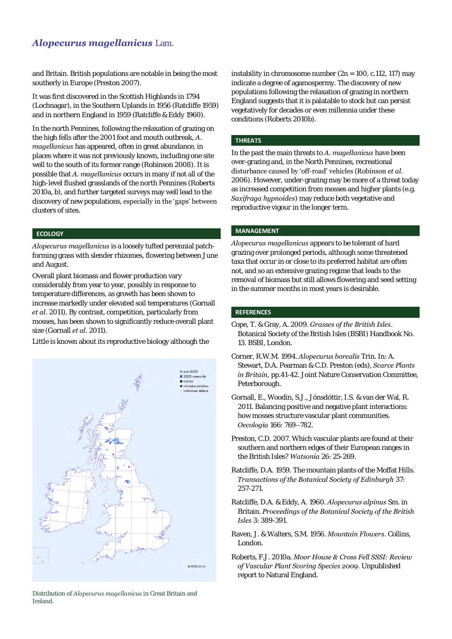### *Alopecurus magellanicus* Lam.

and Britain. British populations are notable in being the most southerly in Europe (Preston 2007).

It was first discovered in the Scottish Highlands in 1794 (Lochnagar), in the Southern Uplands in 1956 (Ratcliffe 1959) and in northern England in 1959 (Ratcliffe & Eddy 1960).

In the north Pennines, following the relaxation of grazing on the high fells after the 2001 foot and mouth outbreak, *A. magellanicus* has appeared, often in great abundance, in places where it was not previously known, including one site well to the south of its former range (Robinson 2008). It is possible that *A. magellanicus* occurs in many if not all of the high-level flushed grasslands of the north Pennines (Roberts 2010a, b), and further targeted surveys may well lead to the discovery of new populations, especially in the 'gaps' between clusters of sites.

#### **ECOLOGY**

*Alopecurus magellanicus* is a loosely tufted perennial patchforming grass with slender rhizomes, flowering between June and August.

Overall plant biomass and flower production vary considerably from year to year, possibly in response to temperature differences, as growth has been shown to increase markedly under elevated soil temperatures (Gornall *et al*. 2011). By contrast, competition, particularly from mosses, has been shown to significantly reduce overall plant size (Gornall *et al*. 2011).

Little is known about its reproductive biology although the





instability in chromosome number (2n = 100, c.112, 117) may indicate a degree of agamospermy. The discovery of new populations following the relaxation of grazing in northern England suggests that it is palatable to stock but can persist vegetatively for decades or even millennia under these conditions (Roberts 2010b).

#### **THREATS**

In the past the main threats to *A. magellanicus* have been over-grazing and, in the North Pennines, recreational disturbance caused by 'off-road' vehicles (Robinson *et al.* 2006). However, under-grazing may be more of a threat today as increased competition from mosses and higher plants (e.g. *Saxifraga hypnoides*) may reduce both vegetative and reproductive vigour in the longer term.

#### **MANAGEMENT**

*Alopecurus magellanicus* appears to be tolerant of hard grazing over prolonged periods, although some threatened taxa that occur in or close to its preferred habitat are often not, and so an extensive grazing regime that leads to the removal of biomass but still allows flowering and seed setting in the summer months in most years is desirable.

#### **REFERENCES**

- Cope, T. & Gray, A. 2009. *Grasses of the British Isles*. Botanical Society of the British Isles (BSBI) Handbook No. 13. BSBI, London.
- Corner, R.W.M. 1994. *Alopecurus borealis* Trin. In: A. Stewart, D.A. Pearman & C.D. Preston (eds), *Scarce Plants in Britain*, pp.41-42. Joint Nature Conservation Committee, Peterborough.
- Gornall, E., Woodin, S.J., Jónsdóttir, I.S. & van der Wal, R. 2011. Balancing positive and negative plant interactions: how mosses structure vascular plant communities. *Oecologia* 166: 769–782.
- Preston, C.D. 2007. Which vascular plants are found at their southern and northern edges of their European ranges in the British Isles? *Watsonia* 26: 25-269.
- Ratcliffe, D.A. 1959. The mountain plants of the Moffat Hills. *Transactions of the Botanical Society of Edinburgh* 37: 257-271.
- Ratcliffe, D.A. & Eddy, A. 1960. *Alopecurus alpinus* Sm. in Britain. *Proceedings of the Botanical Society of the British Isles* 3: 389-391.
- Raven, J. & Walters, S.M. 1956. *Mountain Flowers*. Collins, London.
- Roberts, F.J. 2010a. *Moor House & Cross Fell SSSI: Review of Vascular Plant Scoring Species 2009.* Unpublished report to Natural England.